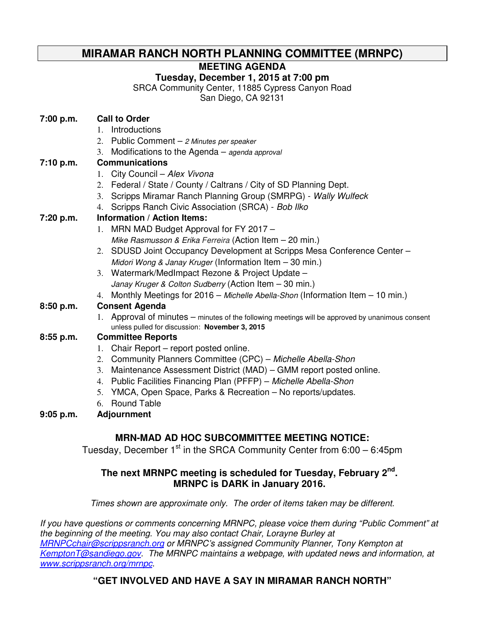# **MIRAMAR RANCH NORTH PLANNING COMMITTEE (MRNPC)**

### **MEETING AGENDA**

### **Tuesday, December 1, 2015 at 7:00 pm**

SRCA Community Center, 11885 Cypress Canyon Road

San Diego, CA 92131

| 7:00 p.m.   | <b>Call to Order</b>                                                                                                                               |
|-------------|----------------------------------------------------------------------------------------------------------------------------------------------------|
|             | Introductions<br>$1_{-}$                                                                                                                           |
|             | 2. Public Comment - 2 Minutes per speaker                                                                                                          |
|             | 3. Modifications to the Agenda - agenda approval                                                                                                   |
| 7:10 p.m.   | <b>Communications</b>                                                                                                                              |
|             | 1. City Council - Alex Vivona                                                                                                                      |
|             | 2. Federal / State / County / Caltrans / City of SD Planning Dept.                                                                                 |
|             | 3. Scripps Miramar Ranch Planning Group (SMRPG) - Wally Wulfeck                                                                                    |
|             | 4. Scripps Ranch Civic Association (SRCA) - Bob Ilko                                                                                               |
| 7:20 p.m.   | <b>Information / Action Items:</b>                                                                                                                 |
|             | 1. MRN MAD Budget Approval for FY 2017 -                                                                                                           |
|             | Mike Rasmusson & Erika Ferreira (Action Item - 20 min.)                                                                                            |
|             | 2. SDUSD Joint Occupancy Development at Scripps Mesa Conference Center -                                                                           |
|             | Midori Wong & Janay Kruger (Information Item - 30 min.)                                                                                            |
|             | 3. Watermark/MedImpact Rezone & Project Update -                                                                                                   |
|             | Janay Kruger & Colton Sudberry (Action Item - 30 min.)                                                                                             |
|             | 4. Monthly Meetings for 2016 - Michelle Abella-Shon (Information Item - 10 min.)                                                                   |
| 8:50 p.m.   | <b>Consent Agenda</b>                                                                                                                              |
|             | 1. Approval of minutes – minutes of the following meetings will be approved by unanimous consent<br>unless pulled for discussion: November 3, 2015 |
| 8:55 p.m.   | <b>Committee Reports</b>                                                                                                                           |
|             | 1. Chair Report – report posted online.                                                                                                            |
|             | 2. Community Planners Committee (CPC) - Michelle Abella-Shon                                                                                       |
|             | 3. Maintenance Assessment District (MAD) – GMM report posted online.                                                                               |
|             | 4. Public Facilities Financing Plan (PFFP) - Michelle Abella-Shon                                                                                  |
|             | 5. YMCA, Open Space, Parks & Recreation - No reports/updates.                                                                                      |
|             | <b>Round Table</b><br>6.                                                                                                                           |
| $9:05$ p.m. | <b>Adjournment</b>                                                                                                                                 |
|             |                                                                                                                                                    |
|             | <b>MRN-MAD AD HOC SUBCOMMITTEE MEETING NOTICE:</b>                                                                                                 |

# Tuesday, December  $1<sup>st</sup>$  in the SRCA Community Center from 6:00 – 6:45pm

#### **The next MRNPC meeting is scheduled for Tuesday, February 2nd . MRNPC is DARK in January 2016.**

Times shown are approximate only. The order of items taken may be different.

If you have questions or comments concerning MRNPC, please voice them during "Public Comment" at the beginning of the meeting. You may also contact Chair, Lorayne Burley at MRNPCchair@scrippsranch.org or MRNPC's assigned Community Planner, Tony Kempton at KemptonT@sandiego.gov. The MRNPC maintains a webpage, with updated news and information, at www.scrippsranch.org/mrnpc.

# **"GET INVOLVED AND HAVE A SAY IN MIRAMAR RANCH NORTH"**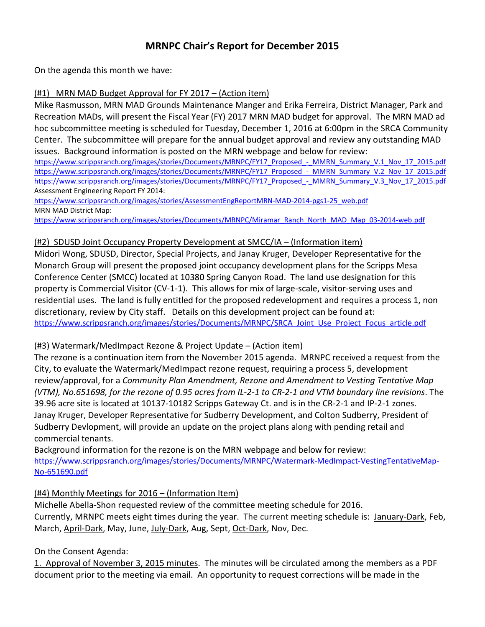# MRNPC Chair's Report for December 2015

On the agenda this month we have:

#### (#1) MRN MAD Budget Approval for FY 2017 – (Action item)

Mike Rasmusson, MRN MAD Grounds Maintenance Manger and Erika Ferreira, District Manager, Park and Recreation MADs, will present the Fiscal Year (FY) 2017 MRN MAD budget for approval. The MRN MAD ad hoc subcommittee meeting is scheduled for Tuesday, December 1, 2016 at 6:00pm in the SRCA Community Center. The subcommittee will prepare for the annual budget approval and review any outstanding MAD issues. Background information is posted on the MRN webpage and below for review:

https://www.scrippsranch.org/images/stories/Documents/MRNPC/FY17\_Proposed - MMRN\_Summary\_V.1\_Nov\_17\_2015.pdf https://www.scrippsranch.org/images/stories/Documents/MRNPC/FY17\_Proposed - MMRN\_Summary\_V.2\_Nov\_17\_2015.pdf https://www.scrippsranch.org/images/stories/Documents/MRNPC/FY17\_Proposed - MMRN\_Summary\_V.3\_Nov\_17\_2015.pdf Assessment Engineering Report FY 2014:

https://www.scrippsranch.org/images/stories/AssessmentEngReportMRN-MAD-2014-pgs1-25\_web.pdf MRN MAD District Map:

https://www.scrippsranch.org/images/stories/Documents/MRNPC/Miramar\_Ranch\_North\_MAD\_Map\_03-2014-web.pdf

#### (#2) SDUSD Joint Occupancy Property Development at SMCC/IA – (Information item)

Midori Wong, SDUSD, Director, Special Projects, and Janay Kruger, Developer Representative for the Monarch Group will present the proposed joint occupancy development plans for the Scripps Mesa Conference Center (SMCC) located at 10380 Spring Canyon Road. The land use designation for this property is Commercial Visitor (CV-1-1). This allows for mix of large-scale, visitor-serving uses and residential uses. The land is fully entitled for the proposed redevelopment and requires a process 1, non discretionary, review by City staff. Details on this development project can be found at: https://www.scrippsranch.org/images/stories/Documents/MRNPC/SRCA\_Joint\_Use\_Project\_Focus\_article.pdf

#### (#3) Watermark/MedImpact Rezone & Project Update – (Action item)

The rezone is a continuation item from the November 2015 agenda. MRNPC received a request from the City, to evaluate the Watermark/MedImpact rezone request, requiring a process 5, development review/approval, for a Community Plan Amendment, Rezone and Amendment to Vesting Tentative Map (VTM), No.651698, for the rezone of 0.95 acres from IL-2-1 to CR-2-1 and VTM boundary line revisions. The 39.96 acre site is located at 10137-10182 Scripps Gateway Ct. and is in the CR-2-1 and IP-2-1 zones. Janay Kruger, Developer Representative for Sudberry Development, and Colton Sudberry, President of Sudberry Devlopment, will provide an update on the project plans along with pending retail and commercial tenants.

Background information for the rezone is on the MRN webpage and below for review: https://www.scrippsranch.org/images/stories/Documents/MRNPC/Watermark-MedImpact-VestingTentativeMap-No-651690.pdf

#### (#4) Monthly Meetings for 2016 – (Information Item)

Michelle Abella-Shon requested review of the committee meeting schedule for 2016. Currently, MRNPC meets eight times during the year. The current meeting schedule is: January-Dark, Feb, March, April-Dark, May, June, July-Dark, Aug, Sept, Oct-Dark, Nov, Dec.

#### On the Consent Agenda:

1. Approval of November 3, 2015 minutes. The minutes will be circulated among the members as a PDF document prior to the meeting via email. An opportunity to request corrections will be made in the